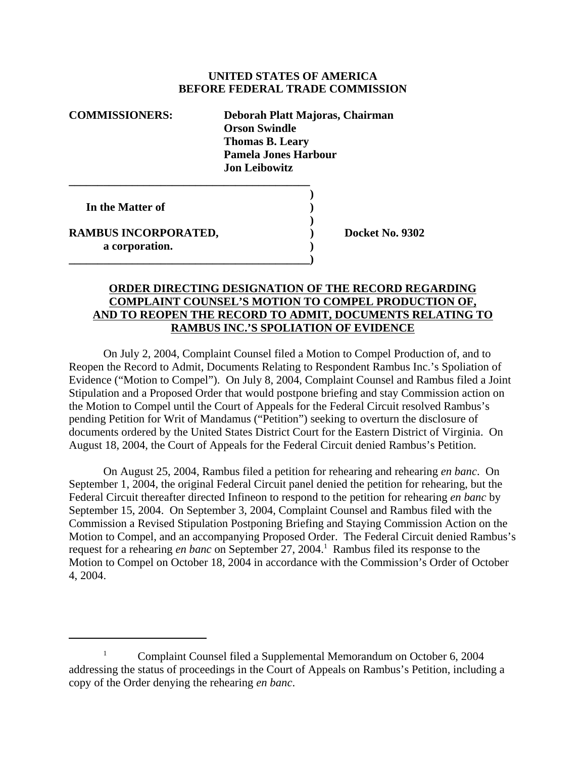## **UNITED STATES OF AMERICA BEFORE FEDERAL TRADE COMMISSION**

| <b>COMMISSIONERS:</b> | Deborah Platt Majoras, Chairman<br><b>Orson Swindle</b><br><b>Thomas B. Leary</b><br><b>Pamela Jones Harbour</b><br><b>Jon Leibowitz</b> |
|-----------------------|------------------------------------------------------------------------------------------------------------------------------------------|
| In the Matter of      |                                                                                                                                          |

**RAMBUS INCORPORATED, BEING NO. 9302 a corporation. )**

**\_\_\_\_\_\_\_\_\_\_\_\_\_\_\_\_\_\_\_\_\_\_\_\_\_\_\_\_\_\_\_\_\_\_\_\_\_\_\_\_\_\_)**

## **ORDER DIRECTING DESIGNATION OF THE RECORD REGARDING COMPLAINT COUNSEL'S MOTION TO COMPEL PRODUCTION OF, AND TO REOPEN THE RECORD TO ADMIT, DOCUMENTS RELATING TO RAMBUS INC.'S SPOLIATION OF EVIDENCE**

**)**

On July 2, 2004, Complaint Counsel filed a Motion to Compel Production of, and to Reopen the Record to Admit, Documents Relating to Respondent Rambus Inc.'s Spoliation of Evidence ("Motion to Compel"). On July 8, 2004, Complaint Counsel and Rambus filed a Joint Stipulation and a Proposed Order that would postpone briefing and stay Commission action on the Motion to Compel until the Court of Appeals for the Federal Circuit resolved Rambus's pending Petition for Writ of Mandamus ("Petition") seeking to overturn the disclosure of documents ordered by the United States District Court for the Eastern District of Virginia. On August 18, 2004, the Court of Appeals for the Federal Circuit denied Rambus's Petition.

On August 25, 2004, Rambus filed a petition for rehearing and rehearing *en banc*. On September 1, 2004, the original Federal Circuit panel denied the petition for rehearing, but the Federal Circuit thereafter directed Infineon to respond to the petition for rehearing *en banc* by September 15, 2004. On September 3, 2004, Complaint Counsel and Rambus filed with the Commission a Revised Stipulation Postponing Briefing and Staying Commission Action on the Motion to Compel, and an accompanying Proposed Order. The Federal Circuit denied Rambus's request for a rehearing *en banc* on September 27, 2004.<sup>1</sup> Rambus filed its response to the Motion to Compel on October 18, 2004 in accordance with the Commission's Order of October 4, 2004.

<sup>&</sup>lt;sup>1</sup> Complaint Counsel filed a Supplemental Memorandum on October 6, 2004 addressing the status of proceedings in the Court of Appeals on Rambus's Petition, including a copy of the Order denying the rehearing *en banc*.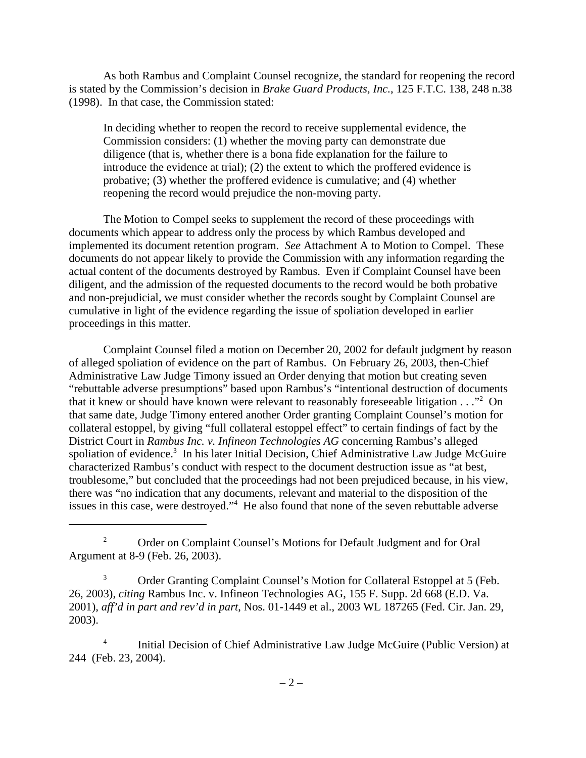As both Rambus and Complaint Counsel recognize, the standard for reopening the record is stated by the Commission's decision in *Brake Guard Products, Inc.*, 125 F.T.C. 138, 248 n.38 (1998). In that case, the Commission stated:

In deciding whether to reopen the record to receive supplemental evidence, the Commission considers: (1) whether the moving party can demonstrate due diligence (that is, whether there is a bona fide explanation for the failure to introduce the evidence at trial); (2) the extent to which the proffered evidence is probative; (3) whether the proffered evidence is cumulative; and (4) whether reopening the record would prejudice the non-moving party.

The Motion to Compel seeks to supplement the record of these proceedings with documents which appear to address only the process by which Rambus developed and implemented its document retention program. *See* Attachment A to Motion to Compel. These documents do not appear likely to provide the Commission with any information regarding the actual content of the documents destroyed by Rambus. Even if Complaint Counsel have been diligent, and the admission of the requested documents to the record would be both probative and non-prejudicial, we must consider whether the records sought by Complaint Counsel are cumulative in light of the evidence regarding the issue of spoliation developed in earlier proceedings in this matter.

Complaint Counsel filed a motion on December 20, 2002 for default judgment by reason of alleged spoliation of evidence on the part of Rambus. On February 26, 2003, then-Chief Administrative Law Judge Timony issued an Order denying that motion but creating seven "rebuttable adverse presumptions" based upon Rambus's "intentional destruction of documents that it knew or should have known were relevant to reasonably foreseeable litigation . . ."<sup>2</sup> On that same date, Judge Timony entered another Order granting Complaint Counsel's motion for collateral estoppel, by giving "full collateral estoppel effect" to certain findings of fact by the District Court in *Rambus Inc. v. Infineon Technologies AG* concerning Rambus's alleged spoliation of evidence.<sup>3</sup> In his later Initial Decision, Chief Administrative Law Judge McGuire characterized Rambus's conduct with respect to the document destruction issue as "at best, troublesome," but concluded that the proceedings had not been prejudiced because, in his view, there was "no indication that any documents, relevant and material to the disposition of the issues in this case, were destroyed."<sup>4</sup> He also found that none of the seven rebuttable adverse

<sup>&</sup>lt;sup>2</sup> Order on Complaint Counsel's Motions for Default Judgment and for Oral Argument at 8-9 (Feb. 26, 2003).

<sup>&</sup>lt;sup>3</sup> Order Granting Complaint Counsel's Motion for Collateral Estoppel at 5 (Feb. 26, 2003), *citing* Rambus Inc. v. Infineon Technologies AG, 155 F. Supp. 2d 668 (E.D. Va. 2001), *aff'd in part and rev'd in part*, Nos. 01-1449 et al., 2003 WL 187265 (Fed. Cir. Jan. 29, 2003).

<sup>&</sup>lt;sup>4</sup> Initial Decision of Chief Administrative Law Judge McGuire (Public Version) at 244 (Feb. 23, 2004).